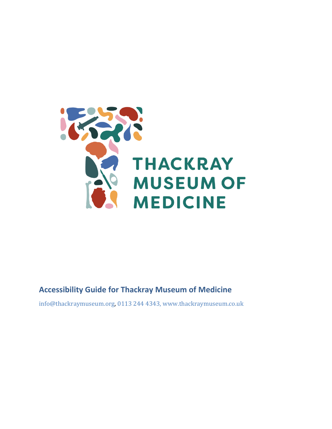

### **Accessibility Guide for Thackray Museum of Medicine**

[info@thackraymuseum.org,](mailto:info@thackraymuseum.org) [0113 244 4343,](tel:0113%20244%204343) <www.thackraymuseum.co.uk>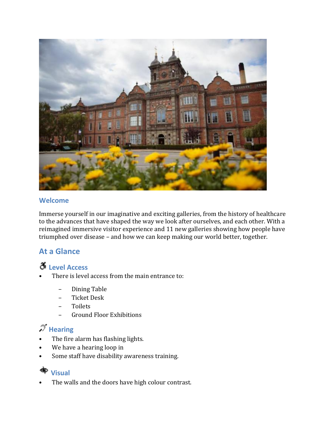

#### **Welcome**

Immerse yourself in our imaginative and exciting galleries, from the history of healthcare to the advances that have shaped the way we look after ourselves, and each other. With a reimagined immersive visitor experience and 11 new galleries showing how people have triumphed over disease – and how we can keep making our world better, together.

### **At a Glance**

### **Level Access**

- There is level access from the main entrance to:
	- Dining Table
	- Ticket Desk
	- Toilets
	- Ground Floor Exhibitions

# $\mathcal{I}$  Hearing

- The fire alarm has flashing lights.
- We have a hearing loop in
- Some staff have disability awareness training.

#### **∢ Visual**

• The walls and the doors have high colour contrast.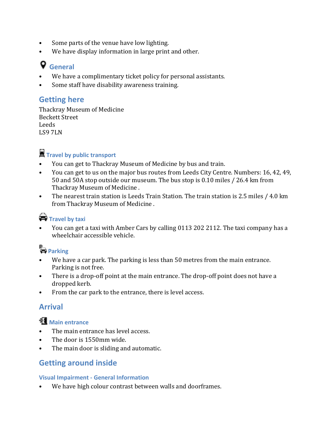- Some parts of the venue have low lighting.
- We have display information in large print and other.

## **General**

- We have a complimentary ticket policy for personal assistants.
- Some staff have disability awareness training.

### **Getting here**

Thackray Museum of Medicine Beckett Street Leeds LS9 7LN

## **Travel by public transport**

- You can get to Thackray Museum of Medicine by bus and train.
- You can get to us on the major bus routes from Leeds City Centre. Numbers: 16, 42, 49, 50 and 50A stop outside our museum. The bus stop is 0.10 miles / 26.4 km from Thackray Museum of Medicine .
- The nearest train station is Leeds Train Station. The train station is 2.5 miles / 4.0 km from Thackray Museum of Medicine .

### **Travel by taxi**

• You can get a taxi with Amber Cars by calling 0113 202 2112. The taxi company has a wheelchair accessible vehicle.

## **Parking**

- We have a car park. The parking is less than 50 metres from the main entrance. Parking is not free.
- There is a drop-off point at the main entrance. The drop-off point does not have a dropped kerb.
- From the car park to the entrance, there is level access.

### **Arrival**

### **Main entrance**

- The main entrance has level access.
- The door is 1550mm wide.
- The main door is sliding and automatic.

### **Getting around inside**

#### **Visual Impairment - General Information**

We have high colour contrast between walls and doorframes.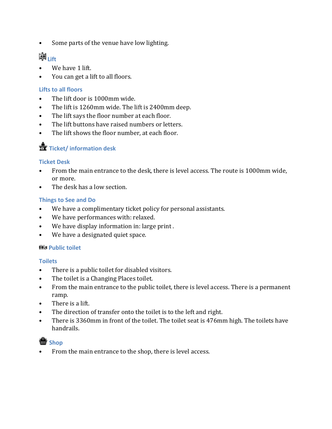• Some parts of the venue have low lighting.

## 摩<sub>Lift</sub>

- We have 1 lift.
- You can get a lift to all floors.

#### **Lifts to all floors**

- The lift door is 1000mm wide.
- The lift is 1260mm wide. The lift is 2400mm deep.
- The lift says the floor number at each floor.
- The lift buttons have raised numbers or letters.
- The lift shows the floor number, at each floor.

### **Ticket/ information desk**

#### **Ticket Desk**

- From the main entrance to the desk, there is level access. The route is 1000mm wide, or more.
- The desk has a low section.

#### **Things to See and Do**

- We have a complimentary ticket policy for personal assistants.
- We have performances with: relaxed.
- We have display information in: large print .
- We have a designated quiet space.

#### **His Public toilet**

#### **Toilets**

- There is a public toilet for disabled visitors.
- The toilet is a Changing Places toilet.
- From the main entrance to the public toilet, there is level access. There is a permanent ramp.
- There is a lift.
- The direction of transfer onto the toilet is to the left and right.
- There is 3360mm in front of the toilet. The toilet seat is 476mm high. The toilets have handrails.



• From the main entrance to the shop, there is level access.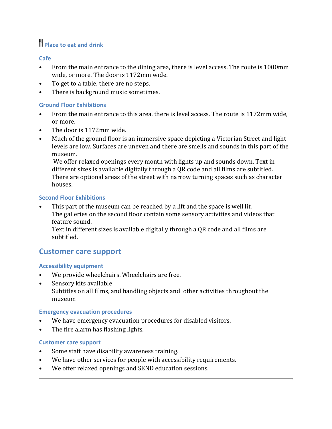## **Place to eat and drink**

#### **Cafe**

- From the main entrance to the dining area, there is level access. The route is 1000mm wide, or more. The door is 1172mm wide.
- To get to a table, there are no steps.
- There is background music sometimes.

#### **Ground Floor Exhibitions**

- From the main entrance to this area, there is level access. The route is 1172mm wide, or more.
- The door is 1172mm wide.
- Much of the ground floor is an immersive space depicting a Victorian Street and light levels are low. Surfaces are uneven and there are smells and sounds in this part of the museum.

We offer relaxed openings every month with lights up and sounds down. Text in different sizes is available digitally through a QR code and all films are subtitled. There are optional areas of the street with narrow turning spaces such as character houses.

#### **Second Floor Exhibitions**

This part of the museum can be reached by a lift and the space is well lit. The galleries on the second floor contain some sensory activities and videos that feature sound.

Text in different sizes is available digitally through a QR code and all films are subtitled.

### **Customer care support**

#### **Accessibility equipment**

- We provide wheelchairs. Wheelchairs are free.
- Sensory kits available Subtitles on all films, and handling objects and other activities throughout the museum

#### **Emergency evacuation procedures**

- We have emergency evacuation procedures for disabled visitors.
- The fire alarm has flashing lights.

#### **Customer care support**

- Some staff have disability awareness training.
- We have other services for people with accessibility requirements.
- We offer relaxed openings and SEND education sessions.